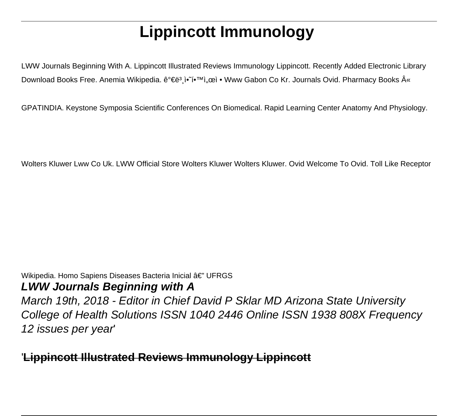# **Lippincott Immunology**

LWW Journals Beginning With A. Lippincott Illustrated Reviews Immunology Lippincott. Recently Added Electronic Library Download Books Free. Anemia Wikipedia. ê°€ë3 i• i•<sup>TM</sup>ì ceì • Www Gabon Co Kr. Journals Ovid. Pharmacy Books «

GPATINDIA. Keystone Symposia Scientific Conferences On Biomedical. Rapid Learning Center Anatomy And Physiology.

Wolters Kluwer Lww Co Uk. LWW Official Store Wolters Kluwer Wolters Kluwer. Ovid Welcome To Ovid. Toll Like Receptor

#### Wikipedia. Homo Sapiens Diseases Bacteria Inicial â€" UFRGS **LWW Journals Beginning with A**

March 19th, 2018 - Editor in Chief David P Sklar MD Arizona State University College of Health Solutions ISSN 1040 2446 Online ISSN 1938 808X Frequency 12 issues per year'

## '**Lippincott Illustrated Reviews Immunology Lippincott**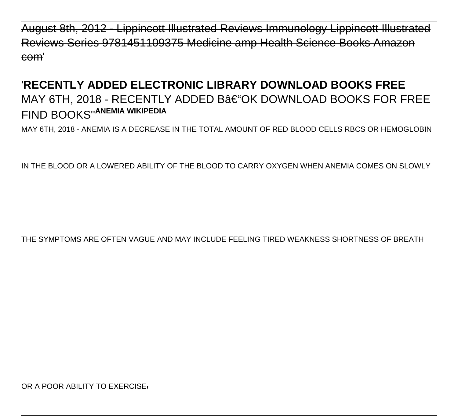August 8th, 2012 - Lippincott Illustrated Reviews Immunology Lippincott II Reviews Series 9781451109375 Medicine amp Health Science Books com'

# '**RECENTLY ADDED ELECTRONIC LIBRARY DOWNLOAD BOOKS FREE** MAY 6TH, 2018 - RECENTLY ADDED B–OK DOWNLOAD BOOKS FOR FREE FIND BOOKS''**ANEMIA WIKIPEDIA**

MAY 6TH, 2018 - ANEMIA IS A DECREASE IN THE TOTAL AMOUNT OF RED BLOOD CELLS RBCS OR HEMOGLOBIN

IN THE BLOOD OR A LOWERED ABILITY OF THE BLOOD TO CARRY OXYGEN WHEN ANEMIA COMES ON SLOWLY

THE SYMPTOMS ARE OFTEN VAGUE AND MAY INCLUDE FEELING TIRED WEAKNESS SHORTNESS OF BREATH

OR A POOR ABILITY TO EXERCISE.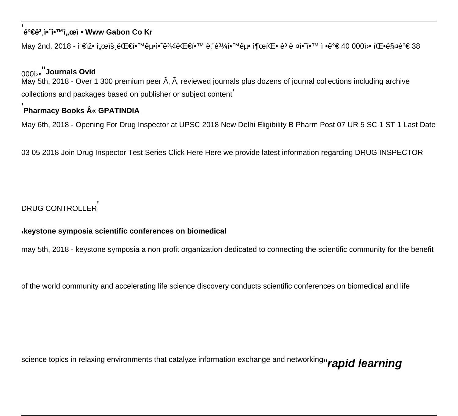#### e°€ë3 j• (1•™), ceì • Www Gabon Co Kr

May 2nd, 2018 - ì €ìž• ì"œìš 대학굕ì•~̃ê<sup>31</sup>⁄4대í•™ ë. ´ê<sup>31</sup>⁄4학굕 출팕 ê<sup>3</sup> ë ¤ì•~í•™ ì •ê°€ 40 000ì>• 팕ë\$¤ê°€ 38

### 000i<sup>,</sup> Journals Ovid

May 5th, 2018 - Over 1 300 premium peer A, A, reviewed journals plus dozens of journal collections including archive collections and packages based on publisher or subject content

#### Pharmacy Books « GPATINDIA

May 6th, 2018 - Opening For Drug Inspector at UPSC 2018 New Delhi Eligibility B Pharm Post 07 UR 5 SC 1 ST 1 Last Date

03 05 2018 Join Drug Inspector Test Series Click Here Here we provide latest information regarding DRUG INSPECTOR

#### **DRUG CONTROLLER**

#### keystone symposia scientific conferences on biomedical

may 5th, 2018 - keystone symposia a non profit organization dedicated to connecting the scientific community for the benefit

of the world community and accelerating life science discovery conducts scientific conferences on biomedical and life

science topics in relaxing environments that catalyze information exchange and networkingn rapid learning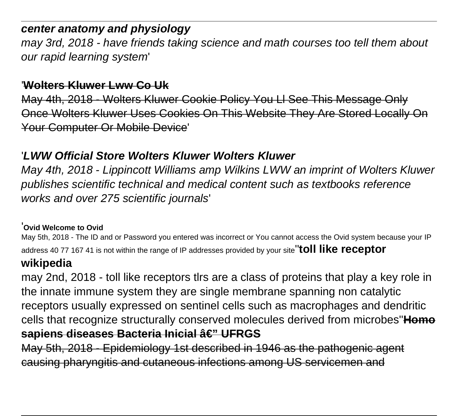# **center anatomy and physiology**

may 3rd, 2018 - have friends taking science and math courses too tell them about our rapid learning system'

### '**Wolters Kluwer Lww Co Uk**

May 4th, 2018 - Wolters Kluwer Cookie Policy You Ll See This Message Only Once Wolters Kluwer Uses Cookies On This Website They Are Stored Locally Your Computer Or Mobile Device'

# '**LWW Official Store Wolters Kluwer Wolters Kluwer**

May 4th, 2018 - Lippincott Williams amp Wilkins LWW an imprint of Wolters Kluwer publishes scientific technical and medical content such as textbooks reference works and over 275 scientific journals'

#### '**Ovid Welcome to Ovid**

May 5th, 2018 - The ID and or Password you entered was incorrect or You cannot access the Ovid system because your IP address 40 77 167 41 is not within the range of IP addresses provided by your site''**toll like receptor**

# **wikipedia**

may 2nd, 2018 - toll like receptors tlrs are a class of proteins that play a key role in the innate immune system they are single membrane spanning non catalytic receptors usually expressed on sentinel cells such as macrophages and dendritic cells that recognize structurally conserved molecules derived from microbes''**Homo sapiens diseases Bacteria Inicial â€" UFRGS** 

May 5th, 2018 - Epidemiology 1st described in 1946 as the pathogenic agent causing pharyngitis and cutaneous infections among US servicemen and